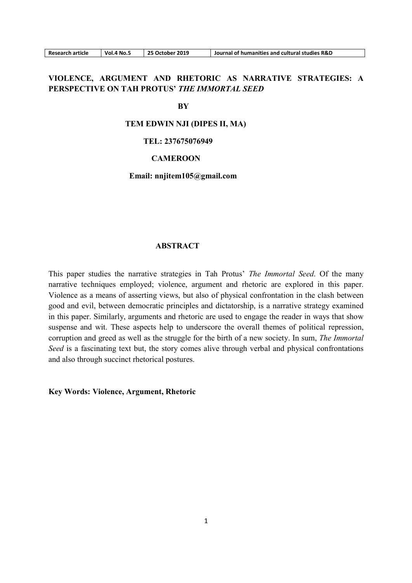| <b>Research article</b> |  |
|-------------------------|--|
|                         |  |

# VIOLENCE, ARGUMENT AND RHETORIC AS NARRATIVE STRATEGIES: A PERSPECTIVE ON TAH PROTUS' THE IMMORTAL SEED

#### **BY**

### TEM EDWIN NJI (DIPES II, MA)

## TEL: 237675076949

### **CAMEROON**

### Email: nnjitem105@gmail.com

## ABSTRACT

This paper studies the narrative strategies in Tah Protus' The Immortal Seed. Of the many narrative techniques employed; violence, argument and rhetoric are explored in this paper. Violence as a means of asserting views, but also of physical confrontation in the clash between good and evil, between democratic principles and dictatorship, is a narrative strategy examined in this paper. Similarly, arguments and rhetoric are used to engage the reader in ways that show suspense and wit. These aspects help to underscore the overall themes of political repression, corruption and greed as well as the struggle for the birth of a new society. In sum, The Immortal Seed is a fascinating text but, the story comes alive through verbal and physical confrontations and also through succinct rhetorical postures.

Key Words: Violence, Argument, Rhetoric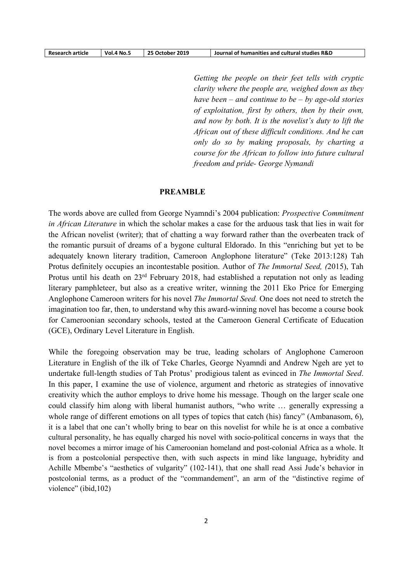| <b>Research article</b> | Vol.4 No.5 | 25 October 2019 | Journal of humanities and cultural studies R&D |
|-------------------------|------------|-----------------|------------------------------------------------|

Getting the people on their feet tells with cryptic clarity where the people are, weighed down as they have been – and continue to be – by age-old stories of exploitation, first by others, then by their own, and now by both. It is the novelist's duty to lift the African out of these difficult conditions. And he can only do so by making proposals, by charting a course for the African to follow into future cultural freedom and pride- George Nymandi

#### PREAMBLE

The words above are culled from George Nyamndi's 2004 publication: Prospective Commitment in African Literature in which the scholar makes a case for the arduous task that lies in wait for the African novelist (writer); that of chatting a way forward rather than the overbeaten track of the romantic pursuit of dreams of a bygone cultural Eldorado. In this "enriching but yet to be adequately known literary tradition, Cameroon Anglophone literature" (Teke 2013:128) Tah Protus definitely occupies an incontestable position. Author of The Immortal Seed, (2015), Tah Protus until his death on 23<sup>rd</sup> February 2018, had established a reputation not only as leading literary pamphleteer, but also as a creative writer, winning the 2011 Eko Price for Emerging Anglophone Cameroon writers for his novel The Immortal Seed. One does not need to stretch the imagination too far, then, to understand why this award-winning novel has become a course book for Cameroonian secondary schools, tested at the Cameroon General Certificate of Education (GCE), Ordinary Level Literature in English.

While the foregoing observation may be true, leading scholars of Anglophone Cameroon Literature in English of the ilk of Teke Charles, George Nyamndi and Andrew Ngeh are yet to undertake full-length studies of Tah Protus' prodigious talent as evinced in The Immortal Seed. In this paper, I examine the use of violence, argument and rhetoric as strategies of innovative creativity which the author employs to drive home his message. Though on the larger scale one could classify him along with liberal humanist authors, "who write … generally expressing a whole range of different emotions on all types of topics that catch (his) fancy" (Ambanasom, 6), it is a label that one can't wholly bring to bear on this novelist for while he is at once a combative cultural personality, he has equally charged his novel with socio-political concerns in ways that the novel becomes a mirror image of his Cameroonian homeland and post-colonial Africa as a whole. It is from a postcolonial perspective then, with such aspects in mind like language, hybridity and Achille Mbembe's "aesthetics of vulgarity" (102-141), that one shall read Assi Jude's behavior in postcolonial terms, as a product of the "commandement", an arm of the "distinctive regime of violence" (ibid,102)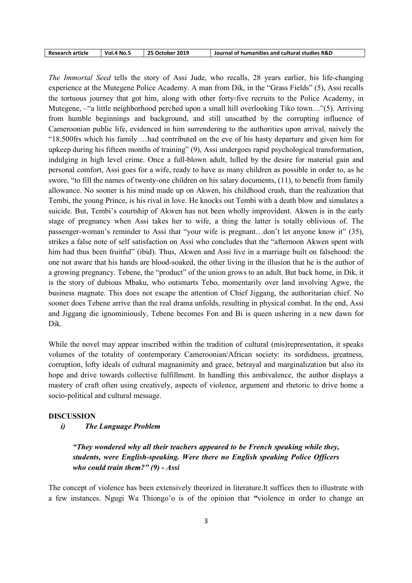| <b>Research article</b> | Vol.4 No._ | 25 October 2019 | Journal of humanities and cultural studies R&D |
|-------------------------|------------|-----------------|------------------------------------------------|
|-------------------------|------------|-----------------|------------------------------------------------|

The Immortal Seed tells the story of Assi Jude, who recalls, 28 years earlier, his life-changing experience at the Mutegene Police Academy. A man from Dik, in the "Grass Fields" (5), Assi recalls the tortuous journey that got him, along with other forty-five recruits to the Police Academy, in Mutegene, –"a little neighborhood perched upon a small hill overlooking Tiko town…"(5). Arriving from humble beginnings and background, and still unscathed by the corrupting influence of Cameroonian public life, evidenced in him surrendering to the authorities upon arrival, naively the "18.500frs which his family …had contributed on the eve of his hasty departure and given him for upkeep during his fifteen months of training" (9), Assi undergoes rapid psychological transformation, indulging in high level crime. Once a full-blown adult, lulled by the desire for material gain and personal comfort, Assi goes for a wife, ready to have as many children as possible in order to, as he swore, "to fill the names of twenty-one children on his salary documents, (11), to benefit from family allowance. No sooner is his mind made up on Akwen, his childhood crush, than the realization that Tembi, the young Prince, is his rival in love. He knocks out Tembi with a death blow and simulates a suicide. But, Tembi's courtship of Akwen has not been wholly improvident. Akwen is in the early stage of pregnancy when Assi takes her to wife, a thing the latter is totally oblivious of. The passenger-woman's reminder to Assi that "your wife is pregnant…don't let anyone know it" (35), strikes a false note of self satisfaction on Assi who concludes that the "afternoon Akwen spent with him had thus been fruitful" (ibid). Thus, Akwen and Assi live in a marriage built on falsehood: the one not aware that his hands are blood-soaked, the other living in the illusion that he is the author of a growing pregnancy. Tebene, the "product" of the union grows to an adult. But back home, in Dik, it is the story of dubious Mbaku, who outsmarts Tebo, momentarily over land involving Agwe, the business magnate. This does not escape the attention of Chief Jiggang, the authoritarian chief. No sooner does Tebene arrive than the real drama unfolds, resulting in physical combat. In the end, Assi and Jiggang die ignominiously, Tebene becomes Fon and Bi is queen ushering in a new dawn for Dik.

While the novel may appear inscribed within the tradition of cultural (mis)representation, it speaks volumes of the totality of contemporary Cameroonian/African society: its sordidness, greatness, corruption, lofty ideals of cultural magnanimity and grace, betrayal and marginalization but also its hope and drive towards collective fulfillment. In handling this ambivalence, the author displays a mastery of craft often using creatively, aspects of violence, argument and rhetoric to drive home a socio-political and cultural message.

### DISCUSSION

### i) The Language Problem

"They wondered why all their teachers appeared to be French speaking while they, students, were English-speaking. Were there no English speaking Police Officers who could train them?"  $(9)$  - Assi

The concept of violence has been extensively theorized in literature.It suffices then to illustrate with a few instances. Ngugi Wa Thiongo'o is of the opinion that "violence in order to change an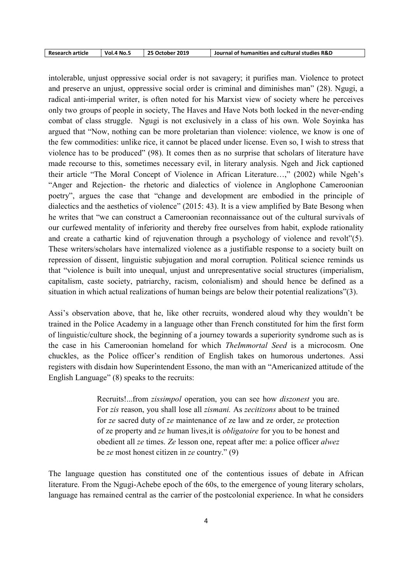| Research article<br>25 October 2019<br><b>Vol.4 No.5</b> | Journal of humanities and cultural studies R&D |
|----------------------------------------------------------|------------------------------------------------|
|----------------------------------------------------------|------------------------------------------------|

intolerable, unjust oppressive social order is not savagery; it purifies man. Violence to protect and preserve an unjust, oppressive social order is criminal and diminishes man" (28). Ngugi, a radical anti-imperial writer, is often noted for his Marxist view of society where he perceives only two groups of people in society, The Haves and Have Nots both locked in the never-ending combat of class struggle. Ngugi is not exclusively in a class of his own. Wole Soyinka has argued that "Now, nothing can be more proletarian than violence: violence, we know is one of the few commodities: unlike rice, it cannot be placed under license. Even so, I wish to stress that violence has to be produced" (98). It comes then as no surprise that scholars of literature have made recourse to this, sometimes necessary evil, in literary analysis. Ngeh and Jick captioned their article "The Moral Concept of Violence in African Literature…," (2002) while Ngeh's "Anger and Rejection- the rhetoric and dialectics of violence in Anglophone Cameroonian poetry", argues the case that "change and development are embodied in the principle of dialectics and the aesthetics of violence" (2015: 43). It is a view amplified by Bate Besong when he writes that "we can construct a Cameroonian reconnaissance out of the cultural survivals of our curfewed mentality of inferiority and thereby free ourselves from habit, explode rationality and create a cathartic kind of rejuvenation through a psychology of violence and revolt"(5). These writers/scholars have internalized violence as a justifiable response to a society built on repression of dissent, linguistic subjugation and moral corruption. Political science reminds us that "violence is built into unequal, unjust and unrepresentative social structures (imperialism, capitalism, caste society, patriarchy, racism, colonialism) and should hence be defined as a situation in which actual realizations of human beings are below their potential realizations"(3).

Assi's observation above, that he, like other recruits, wondered aloud why they wouldn't be trained in the Police Academy in a language other than French constituted for him the first form of linguistic/culture shock, the beginning of a journey towards a superiority syndrome such as is the case in his Cameroonian homeland for which TheImmortal Seed is a microcosm. One chuckles, as the Police officer's rendition of English takes on humorous undertones. Assi registers with disdain how Superintendent Essono, the man with an "Americanized attitude of the English Language" (8) speaks to the recruits:

> Recruits!...from zissimpol operation, you can see how diszonest you are. For zis reason, you shall lose all zismani. As zecitizons about to be trained for ze sacred duty of ze maintenance of ze law and ze order, ze protection of ze property and ze human lives,it is obligatoire for you to be honest and obedient all ze times. Ze lesson one, repeat after me: a police officer alwez be ze most honest citizen in ze country." (9)

The language question has constituted one of the contentious issues of debate in African literature. From the Ngugi-Achebe epoch of the 60s, to the emergence of young literary scholars, language has remained central as the carrier of the postcolonial experience. In what he considers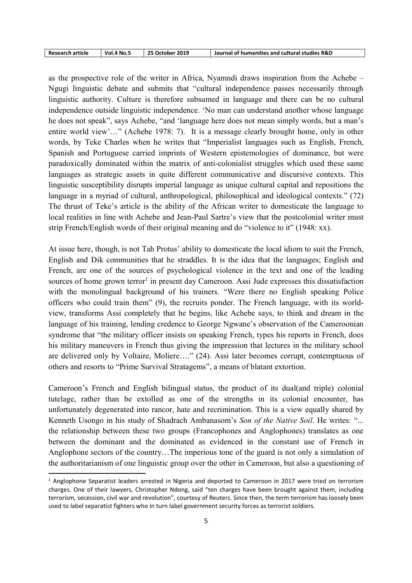| <b>Research article</b> | <b>Vol.4 No.</b> | 25 October 2019 | Journal of humanities and cultural studies R&D |
|-------------------------|------------------|-----------------|------------------------------------------------|
|-------------------------|------------------|-----------------|------------------------------------------------|

as the prospective role of the writer in Africa, Nyamndi draws inspiration from the Achebe – Ngugi linguistic debate and submits that "cultural independence passes necessarily through linguistic authority. Culture is therefore subsumed in language and there can be no cultural independence outside linguistic independence. 'No man can understand another whose language he does not speak", says Achebe, "and 'language here does not mean simply words, but a man's entire world view'…" (Achebe 1978: 7). It is a message clearly brought home, only in other words, by Teke Charles when he writes that "Imperialist languages such as English, French, Spanish and Portuguese carried imprints of Western epistemologies of dominance, but were paradoxically dominated within the matrix of anti-colonialist struggles which used these same languages as strategic assets in quite different communicative and discursive contexts. This linguistic susceptibility disrupts imperial language as unique cultural capital and repositions the language in a myriad of cultural, anthropological, philosophical and ideological contexts." (72) The thrust of Teke's article is the ability of the African writer to domesticate the language to local realities in line with Achebe and Jean-Paul Sartre's view that the postcolonial writer must strip French/English words of their original meaning and do "violence to it" (1948: xx).

At issue here, though, is not Tah Protus' ability to domesticate the local idiom to suit the French, English and Dik communities that he straddles. It is the idea that the languages; English and French, are one of the sources of psychological violence in the text and one of the leading sources of home grown terror<sup>1</sup> in present day Cameroon. Assi Jude expresses this dissatisfaction with the monolingual background of his trainers. "Were there no English speaking Police officers who could train them" (9), the recruits ponder. The French language, with its worldview, transforms Assi completely that he begins, like Achebe says, to think and dream in the language of his training, lending credence to George Ngwane's observation of the Cameroonian syndrome that "the military officer insists on speaking French, types his reports in French, does his military maneuvers in French thus giving the impression that lectures in the military school are delivered only by Voltaire, Moliere…." (24). Assi later becomes corrupt, contemptuous of others and resorts to "Prime Survival Stratagems", a means of blatant extortion.

Cameroon's French and English bilingual status, the product of its dual(and triple) colonial tutelage, rather than be extolled as one of the strengths in its colonial encounter, has unfortunately degenerated into rancor, hate and recrimination. This is a view equally shared by Kenneth Usongo in his study of Shadrach Ambanasom's Son of the Native Soil. He writes: "... the relationship between these two groups (Francophones and Anglophones) translates as one between the dominant and the dominated as evidenced in the constant use of French in Anglophone sectors of the country…The imperious tone of the guard is not only a simulation of the authoritarianism of one linguistic group over the other in Cameroon, but also a questioning of

-

<sup>&</sup>lt;sup>1</sup> Anglophone Separatist leaders arrested in Nigeria and deported to Cameroon in 2017 were tried on terrorism charges. One of their lawyers, Christopher Ndong, said "ten charges have been brought against them, including terrorism, secession, civil war and revolution", courtesy of Reuters. Since then, the term terrorism has loosely been used to label separatist fighters who in turn label government security forces as terrorist soldiers.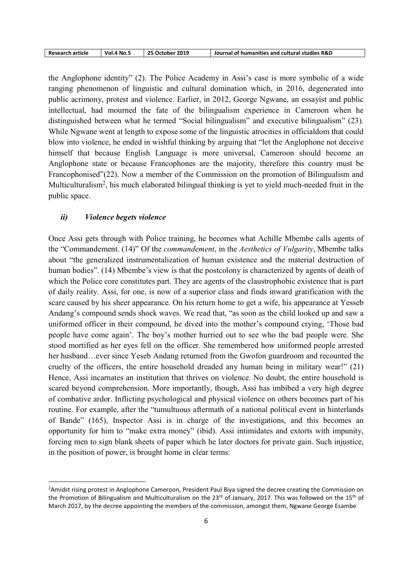| <b>Research article</b> | <b>Vol.4 No.5</b> | 25 October 2019 | Journal of humanities and cultural studies R&D |
|-------------------------|-------------------|-----------------|------------------------------------------------|
|-------------------------|-------------------|-----------------|------------------------------------------------|

the Anglophone identity" (2). The Police Academy in Assi's case is more symbolic of a wide ranging phenomenon of linguistic and cultural domination which, in 2016, degenerated into public acrimony, protest and violence. Earlier, in 2012, George Ngwane, an essayist and public intellectual, had mourned the fate of the bilingualism experience in Cameroon when he distinguished between what he termed "Social bilingualism" and executive bilingualism" (23). While Ngwane went at length to expose some of the linguistic atrocities in officialdom that could blow into violence, he ended in wishful thinking by arguing that "let the Anglophone not deceive himself that because English Language is more universal, Cameroon should become an Anglophone state or because Francophones are the majority, therefore this country must be Francophonised"(22). Now a member of the Commission on the promotion of Bilingualism and Multiculturalism<sup>2</sup>, his much elaborated bilingual thinking is yet to yield much-needed fruit in the public space.

### ii) Violence begets violence

-

Once Assi gets through with Police training, he becomes what Achille Mbembe calls agents of the "Commandement. (14)" Of the commandement, in the Aesthetics of Vulgarity, Mbembe talks about "the generalized instrumentalization of human existence and the material destruction of human bodies". (14) Mbembe's view is that the postcolony is characterized by agents of death of which the Police core constitutes part. They are agents of the claustrophobic existence that is part of daily reality. Assi, for one, is now of a superior class and finds inward gratification with the scare caused by his sheer appearance. On his return home to get a wife, his appearance at Yesseb Andang's compound sends shock waves. We read that, "as soon as the child looked up and saw a uniformed officer in their compound, he dived into the mother's compound crying, 'Those bad people have come again'. The boy's mother hurried out to see who the bad people were. She stood mortified as her eyes fell on the officer. She remembered how uniformed people arrested her husband…ever since Yeseb Andang returned from the Gwofon guardroom and recounted the cruelty of the officers, the entire household dreaded any human being in military wear!" (21) Hence, Assi incarnates an institution that thrives on violence. No doubt, the entire household is scared beyond comprehension. More importantly, though, Assi has imbibed a very high degree of combative ardor. Inflicting psychological and physical violence on others becomes part of his routine. For example, after the "tumultuous aftermath of a national political event in hinterlands of Bande" (165), Inspector Assi is in charge of the investigations, and this becomes an opportunity for him to "make extra money" (ibid). Assi intimidates and extorts with impunity, forcing men to sign blank sheets of paper which he later doctors for private gain. Such injustice, in the position of power, is brought home in clear terms:

<sup>&</sup>lt;sup>2</sup>Amidst rising protest in Anglophone Cameroon, President Paul Biya signed the decree creating the Commission on the Promotion of Bilingualism and Multiculturalism on the  $23<sup>rd</sup>$  of January, 2017. This was followed on the  $15<sup>th</sup>$  of March 2017, by the decree appointing the members of the commission, amongst them, Ngwane George Esambe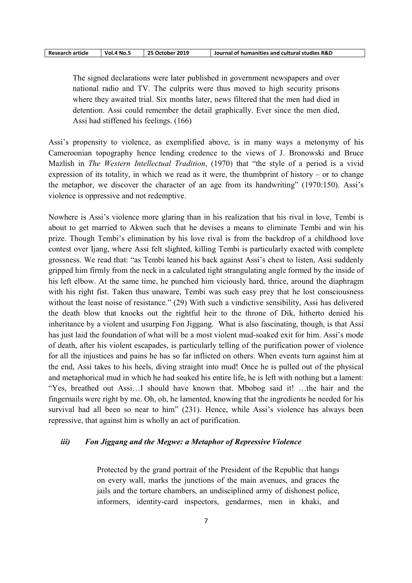| <b>Research article</b> | <b>Vol.4 No.5</b> | 25 October 2019 | Journal of humanities and cultural studies R&D |
|-------------------------|-------------------|-----------------|------------------------------------------------|
|-------------------------|-------------------|-----------------|------------------------------------------------|

The signed declarations were later published in government newspapers and over national radio and TV. The culprits were thus moved to high security prisons where they awaited trial. Six months later, news filtered that the men had died in detention. Assi could remember the detail graphically. Ever since the men died, Assi had stiffened his feelings. (166)

Assi's propensity to violence, as exemplified above, is in many ways a metonymy of his Cameroonian topography hence lending credence to the views of J. Bronowski and Bruce Mazlish in The Western Intellectual Tradition, (1970) that "the style of a period is a vivid expression of its totality, in which we read as it were, the thumbprint of history – or to change the metaphor, we discover the character of an age from its handwriting" (1970:150). Assi's violence is oppressive and not redemptive.

Nowhere is Assi's violence more glaring than in his realization that his rival in love, Tembi is about to get married to Akwen such that he devises a means to eliminate Tembi and win his prize. Though Tembi's elimination by his love rival is from the backdrop of a childhood love contest over Ijang, where Assi felt slighted, killing Tembi is particularly exacted with complete grossness. We read that: "as Tembi leaned his back against Assi's chest to listen, Assi suddenly gripped him firmly from the neck in a calculated tight strangulating angle formed by the inside of his left elbow. At the same time, he punched him viciously hard, thrice, around the diaphragm with his right fist. Taken thus unaware, Tembi was such easy prey that he lost consciousness without the least noise of resistance." (29) With such a vindictive sensibility, Assi has delivered the death blow that knocks out the rightful heir to the throne of Dik, hitherto denied his inheritance by a violent and usurping Fon Jiggang. What is also fascinating, though, is that Assi has just laid the foundation of what will be a most violent mud-soaked exit for him. Assi's mode of death, after his violent escapades, is particularly telling of the purification power of violence for all the injustices and pains he has so far inflicted on others. When events turn against him at the end, Assi takes to his heels, diving straight into mud! Once he is pulled out of the physical and metaphorical mud in which he had soaked his entire life, he is left with nothing but a lament: "Yes, breathed out Assi…I should have known that. Mbobog said it! …the hair and the fingernails were right by me. Oh, oh, he lamented, knowing that the ingredients he needed for his survival had all been so near to him" (231). Hence, while Assi's violence has always been repressive, that against him is wholly an act of purification.

## iii) Fon Jiggang and the Megwe: a Metaphor of Repressive Violence

Protected by the grand portrait of the President of the Republic that hangs on every wall, marks the junctions of the main avenues, and graces the jails and the torture chambers, an undisciplined army of dishonest police, informers, identity-card inspectors, gendarmes, men in khaki, and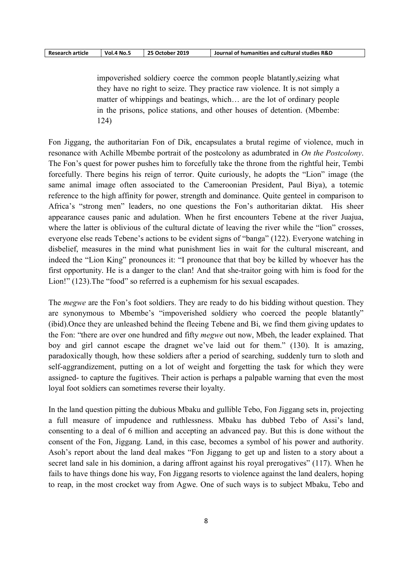| <b>Research article</b> | - Vol.4 No. . | 25 October 2019 | Journal of humanities and cultural studies R&D |
|-------------------------|---------------|-----------------|------------------------------------------------|
|-------------------------|---------------|-----------------|------------------------------------------------|

impoverished soldiery coerce the common people blatantly,seizing what they have no right to seize. They practice raw violence. It is not simply a matter of whippings and beatings, which… are the lot of ordinary people in the prisons, police stations, and other houses of detention. (Mbembe: 124)

Fon Jiggang, the authoritarian Fon of Dik, encapsulates a brutal regime of violence, much in resonance with Achille Mbembe portrait of the postcolony as adumbrated in On the Postcolony. The Fon's quest for power pushes him to forcefully take the throne from the rightful heir, Tembi forcefully. There begins his reign of terror. Quite curiously, he adopts the "Lion" image (the same animal image often associated to the Cameroonian President, Paul Biya), a totemic reference to the high affinity for power, strength and dominance. Quite genteel in comparison to Africa's "strong men" leaders, no one questions the Fon's authoritarian diktat. His sheer appearance causes panic and adulation. When he first encounters Tebene at the river Juajua, where the latter is oblivious of the cultural dictate of leaving the river while the "lion" crosses, everyone else reads Tebene's actions to be evident signs of "banga" (122). Everyone watching in disbelief, measures in the mind what punishment lies in wait for the cultural miscreant, and indeed the "Lion King" pronounces it: "I pronounce that that boy be killed by whoever has the first opportunity. He is a danger to the clan! And that she-traitor going with him is food for the Lion!" (123). The "food" so referred is a euphemism for his sexual escapades.

The *megwe* are the Fon's foot soldiers. They are ready to do his bidding without question. They are synonymous to Mbembe's "impoverished soldiery who coerced the people blatantly" (ibid).Once they are unleashed behind the fleeing Tebene and Bi, we find them giving updates to the Fon: "there are over one hundred and fifty megwe out now, Mbeh, the leader explained. That boy and girl cannot escape the dragnet we've laid out for them." (130). It is amazing, paradoxically though, how these soldiers after a period of searching, suddenly turn to sloth and self-aggrandizement, putting on a lot of weight and forgetting the task for which they were assigned- to capture the fugitives. Their action is perhaps a palpable warning that even the most loyal foot soldiers can sometimes reverse their loyalty.

In the land question pitting the dubious Mbaku and gullible Tebo, Fon Jiggang sets in, projecting a full measure of impudence and ruthlessness. Mbaku has dubbed Tebo of Assi's land, consenting to a deal of 6 million and accepting an advanced pay. But this is done without the consent of the Fon, Jiggang. Land, in this case, becomes a symbol of his power and authority. Asoh's report about the land deal makes "Fon Jiggang to get up and listen to a story about a secret land sale in his dominion, a daring affront against his royal prerogatives" (117). When he fails to have things done his way, Fon Jiggang resorts to violence against the land dealers, hoping to reap, in the most crocket way from Agwe. One of such ways is to subject Mbaku, Tebo and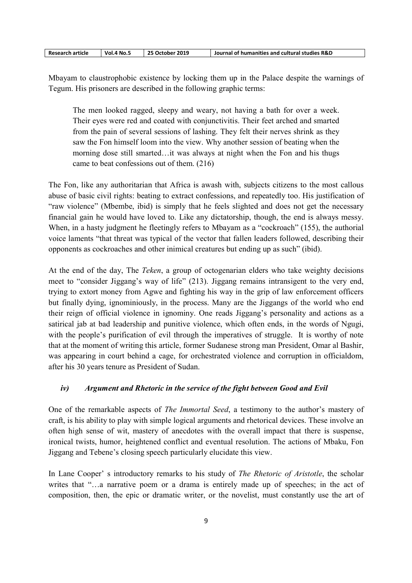| <b>Research article</b> | 4 No. .<br>Vol.4 | 25 October 2019 | Journal of humanities and cultural studies R&D |
|-------------------------|------------------|-----------------|------------------------------------------------|
|-------------------------|------------------|-----------------|------------------------------------------------|

Mbayam to claustrophobic existence by locking them up in the Palace despite the warnings of Tegum. His prisoners are described in the following graphic terms:

The men looked ragged, sleepy and weary, not having a bath for over a week. Their eyes were red and coated with conjunctivitis. Their feet arched and smarted from the pain of several sessions of lashing. They felt their nerves shrink as they saw the Fon himself loom into the view. Why another session of beating when the morning dose still smarted…it was always at night when the Fon and his thugs came to beat confessions out of them. (216)

The Fon, like any authoritarian that Africa is awash with, subjects citizens to the most callous abuse of basic civil rights: beating to extract confessions, and repeatedly too. His justification of "raw violence" (Mbembe, ibid) is simply that he feels slighted and does not get the necessary financial gain he would have loved to. Like any dictatorship, though, the end is always messy. When, in a hasty judgment he fleetingly refers to Mbayam as a "cockroach" (155), the authorial voice laments "that threat was typical of the vector that fallen leaders followed, describing their opponents as cockroaches and other inimical creatures but ending up as such" (ibid).

At the end of the day, The Teken, a group of octogenarian elders who take weighty decisions meet to "consider Jiggang's way of life" (213). Jiggang remains intransigent to the very end, trying to extort money from Agwe and fighting his way in the grip of law enforcement officers but finally dying, ignominiously, in the process. Many are the Jiggangs of the world who end their reign of official violence in ignominy. One reads Jiggang's personality and actions as a satirical jab at bad leadership and punitive violence, which often ends, in the words of Ngugi, with the people's purification of evil through the imperatives of struggle. It is worthy of note that at the moment of writing this article, former Sudanese strong man President, Omar al Bashir, was appearing in court behind a cage, for orchestrated violence and corruption in officialdom, after his 30 years tenure as President of Sudan.

# iv) Argument and Rhetoric in the service of the fight between Good and Evil

One of the remarkable aspects of The Immortal Seed, a testimony to the author's mastery of craft, is his ability to play with simple logical arguments and rhetorical devices. These involve an often high sense of wit, mastery of anecdotes with the overall impact that there is suspense, ironical twists, humor, heightened conflict and eventual resolution. The actions of Mbaku, Fon Jiggang and Tebene's closing speech particularly elucidate this view.

In Lane Cooper' s introductory remarks to his study of *The Rhetoric of Aristotle*, the scholar writes that "…a narrative poem or a drama is entirely made up of speeches; in the act of composition, then, the epic or dramatic writer, or the novelist, must constantly use the art of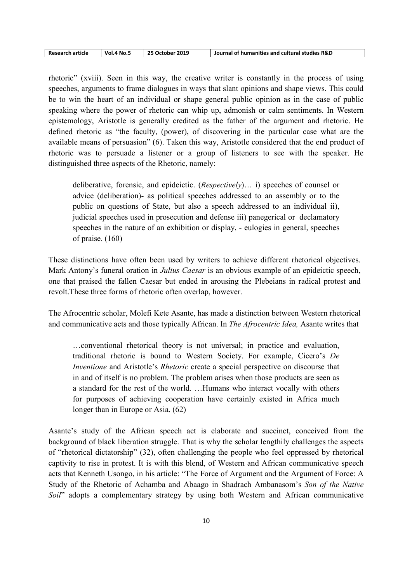| <b>Research article</b> | <b>Vol.4 No.5</b> | 25 October 2019 | Journal of humanities and cultural studies R&D |
|-------------------------|-------------------|-----------------|------------------------------------------------|
|-------------------------|-------------------|-----------------|------------------------------------------------|

rhetoric" (xviii). Seen in this way, the creative writer is constantly in the process of using speeches, arguments to frame dialogues in ways that slant opinions and shape views. This could be to win the heart of an individual or shape general public opinion as in the case of public speaking where the power of rhetoric can whip up, admonish or calm sentiments. In Western epistemology, Aristotle is generally credited as the father of the argument and rhetoric. He defined rhetoric as "the faculty, (power), of discovering in the particular case what are the available means of persuasion" (6). Taken this way, Aristotle considered that the end product of rhetoric was to persuade a listener or a group of listeners to see with the speaker. He distinguished three aspects of the Rhetoric, namely:

deliberative, forensic, and epideictic. (Respectively)… i) speeches of counsel or advice (deliberation)- as political speeches addressed to an assembly or to the public on questions of State, but also a speech addressed to an individual ii), judicial speeches used in prosecution and defense iii) panegerical or declamatory speeches in the nature of an exhibition or display, - eulogies in general, speeches of praise. (160)

These distinctions have often been used by writers to achieve different rhetorical objectives. Mark Antony's funeral oration in Julius Caesar is an obvious example of an epideictic speech, one that praised the fallen Caesar but ended in arousing the Plebeians in radical protest and revolt.These three forms of rhetoric often overlap, however.

The Afrocentric scholar, Molefi Kete Asante, has made a distinction between Western rhetorical and communicative acts and those typically African. In The Afrocentric Idea, Asante writes that

…conventional rhetorical theory is not universal; in practice and evaluation, traditional rhetoric is bound to Western Society. For example, Cicero's De Inventione and Aristotle's Rhetoric create a special perspective on discourse that in and of itself is no problem. The problem arises when those products are seen as a standard for the rest of the world. …Humans who interact vocally with others for purposes of achieving cooperation have certainly existed in Africa much longer than in Europe or Asia. (62)

Asante's study of the African speech act is elaborate and succinct, conceived from the background of black liberation struggle. That is why the scholar lengthily challenges the aspects of "rhetorical dictatorship" (32), often challenging the people who feel oppressed by rhetorical captivity to rise in protest. It is with this blend, of Western and African communicative speech acts that Kenneth Usongo, in his article: "The Force of Argument and the Argument of Force: A Study of the Rhetoric of Achamba and Abaago in Shadrach Ambanasom's Son of the Native Soil" adopts a complementary strategy by using both Western and African communicative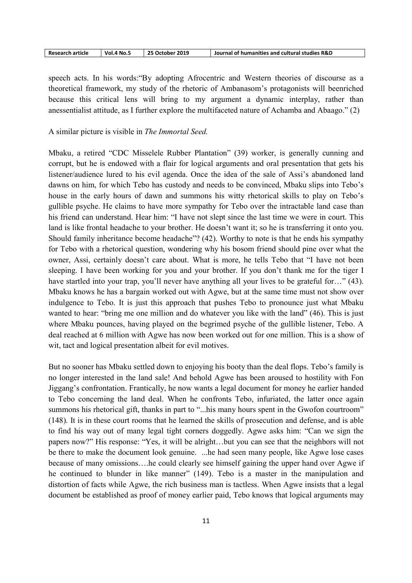| 25 October 2019<br><b>Research article</b><br>Vol.4 No._ | Journal of humanities and cultural studies R&D |
|----------------------------------------------------------|------------------------------------------------|
|----------------------------------------------------------|------------------------------------------------|

speech acts. In his words:"By adopting Afrocentric and Western theories of discourse as a theoretical framework, my study of the rhetoric of Ambanasom's protagonists will beenriched because this critical lens will bring to my argument a dynamic interplay, rather than anessentialist attitude, as I further explore the multifaceted nature of Achamba and Abaago." (2)

A similar picture is visible in The Immortal Seed.

Mbaku, a retired "CDC Misselele Rubber Plantation" (39) worker, is generally cunning and corrupt, but he is endowed with a flair for logical arguments and oral presentation that gets his listener/audience lured to his evil agenda. Once the idea of the sale of Assi's abandoned land dawns on him, for which Tebo has custody and needs to be convinced, Mbaku slips into Tebo's house in the early hours of dawn and summons his witty rhetorical skills to play on Tebo's gullible psyche. He claims to have more sympathy for Tebo over the intractable land case than his friend can understand. Hear him: "I have not slept since the last time we were in court. This land is like frontal headache to your brother. He doesn't want it; so he is transferring it onto you. Should family inheritance become headache"? (42). Worthy to note is that he ends his sympathy for Tebo with a rhetorical question, wondering why his bosom friend should pine over what the owner, Assi, certainly doesn't care about. What is more, he tells Tebo that "I have not been sleeping. I have been working for you and your brother. If you don't thank me for the tiger I have startled into your trap, you'll never have anything all your lives to be grateful for..." (43). Mbaku knows he has a bargain worked out with Agwe, but at the same time must not show over indulgence to Tebo. It is just this approach that pushes Tebo to pronounce just what Mbaku wanted to hear: "bring me one million and do whatever you like with the land" (46). This is just where Mbaku pounces, having played on the begrimed psyche of the gullible listener, Tebo. A deal reached at 6 million with Agwe has now been worked out for one million. This is a show of wit, tact and logical presentation albeit for evil motives.

But no sooner has Mbaku settled down to enjoying his booty than the deal flops. Tebo's family is no longer interested in the land sale! And behold Agwe has been aroused to hostility with Fon Jiggang's confrontation. Frantically, he now wants a legal document for money he earlier handed to Tebo concerning the land deal. When he confronts Tebo, infuriated, the latter once again summons his rhetorical gift, thanks in part to "...his many hours spent in the Gwofon courtroom" (148). It is in these court rooms that he learned the skills of prosecution and defense, and is able to find his way out of many legal tight corners doggedly. Agwe asks him: "Can we sign the papers now?" His response: "Yes, it will be alright…but you can see that the neighbors will not be there to make the document look genuine. ...he had seen many people, like Agwe lose cases because of many omissions….he could clearly see himself gaining the upper hand over Agwe if he continued to blunder in like manner" (149). Tebo is a master in the manipulation and distortion of facts while Agwe, the rich business man is tactless. When Agwe insists that a legal document be established as proof of money earlier paid, Tebo knows that logical arguments may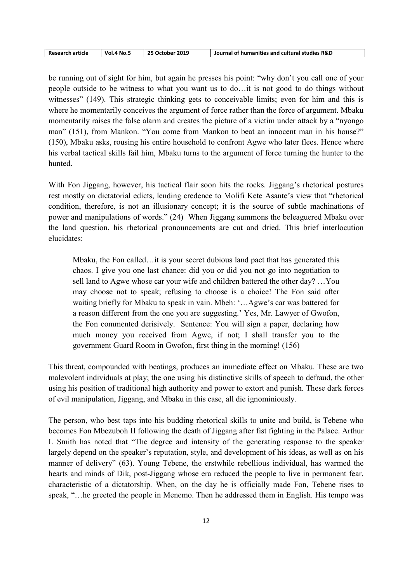| <b>Research article</b> | <b>Vol.4 No.5</b> | 25 October 2019 | Journal of humanities and cultural studies R&D |
|-------------------------|-------------------|-----------------|------------------------------------------------|
|-------------------------|-------------------|-----------------|------------------------------------------------|

be running out of sight for him, but again he presses his point: "why don't you call one of your people outside to be witness to what you want us to do…it is not good to do things without witnesses" (149). This strategic thinking gets to conceivable limits; even for him and this is where he momentarily conceives the argument of force rather than the force of argument. Mbaku momentarily raises the false alarm and creates the picture of a victim under attack by a "nyongo man" (151), from Mankon. "You come from Mankon to beat an innocent man in his house?" (150), Mbaku asks, rousing his entire household to confront Agwe who later flees. Hence where his verbal tactical skills fail him, Mbaku turns to the argument of force turning the hunter to the hunted.

With Fon Jiggang, however, his tactical flair soon hits the rocks. Jiggang's rhetorical postures rest mostly on dictatorial edicts, lending credence to Molifi Kete Asante's view that "rhetorical condition, therefore, is not an illusionary concept; it is the source of subtle machinations of power and manipulations of words." (24) When Jiggang summons the beleaguered Mbaku over the land question, his rhetorical pronouncements are cut and dried. This brief interlocution elucidates:

Mbaku, the Fon called…it is your secret dubious land pact that has generated this chaos. I give you one last chance: did you or did you not go into negotiation to sell land to Agwe whose car your wife and children battered the other day? …You may choose not to speak; refusing to choose is a choice! The Fon said after waiting briefly for Mbaku to speak in vain. Mbeh: '…Agwe's car was battered for a reason different from the one you are suggesting.' Yes, Mr. Lawyer of Gwofon, the Fon commented derisively. Sentence: You will sign a paper, declaring how much money you received from Agwe, if not; I shall transfer you to the government Guard Room in Gwofon, first thing in the morning! (156)

This threat, compounded with beatings, produces an immediate effect on Mbaku. These are two malevolent individuals at play; the one using his distinctive skills of speech to defraud, the other using his position of traditional high authority and power to extort and punish. These dark forces of evil manipulation, Jiggang, and Mbaku in this case, all die ignominiously.

The person, who best taps into his budding rhetorical skills to unite and build, is Tebene who becomes Fon Mbezuboh II following the death of Jiggang after fist fighting in the Palace. Arthur L Smith has noted that "The degree and intensity of the generating response to the speaker largely depend on the speaker's reputation, style, and development of his ideas, as well as on his manner of delivery" (63). Young Tebene, the erstwhile rebellious individual, has warmed the hearts and minds of Dik, post-Jiggang whose era reduced the people to live in permanent fear, characteristic of a dictatorship. When, on the day he is officially made Fon, Tebene rises to speak, "…he greeted the people in Menemo. Then he addressed them in English. His tempo was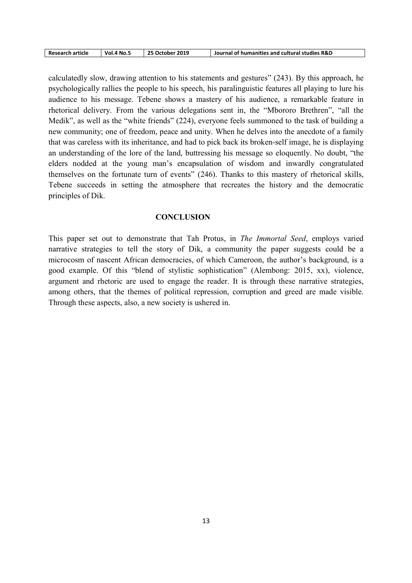| <b>Research article</b> | Vol.4 No._ | 25 October 2019 | Journal of humanities and cultural studies R&D |
|-------------------------|------------|-----------------|------------------------------------------------|
|-------------------------|------------|-----------------|------------------------------------------------|

calculatedly slow, drawing attention to his statements and gestures" (243). By this approach, he psychologically rallies the people to his speech, his paralinguistic features all playing to lure his audience to his message. Tebene shows a mastery of his audience, a remarkable feature in rhetorical delivery. From the various delegations sent in, the "Mbororo Brethren", "all the Medik", as well as the "white friends" (224), everyone feels summoned to the task of building a new community; one of freedom, peace and unity. When he delves into the anecdote of a family that was careless with its inheritance, and had to pick back its broken-self image, he is displaying an understanding of the lore of the land, buttressing his message so eloquently. No doubt, "the elders nodded at the young man's encapsulation of wisdom and inwardly congratulated themselves on the fortunate turn of events" (246). Thanks to this mastery of rhetorical skills, Tebene succeeds in setting the atmosphere that recreates the history and the democratic principles of Dik.

## **CONCLUSION**

This paper set out to demonstrate that Tah Protus, in The Immortal Seed, employs varied narrative strategies to tell the story of Dik, a community the paper suggests could be a microcosm of nascent African democracies, of which Cameroon, the author's background, is a good example. Of this "blend of stylistic sophistication" (Alembong: 2015, xx), violence, argument and rhetoric are used to engage the reader. It is through these narrative strategies, among others, that the themes of political repression, corruption and greed are made visible. Through these aspects, also, a new society is ushered in.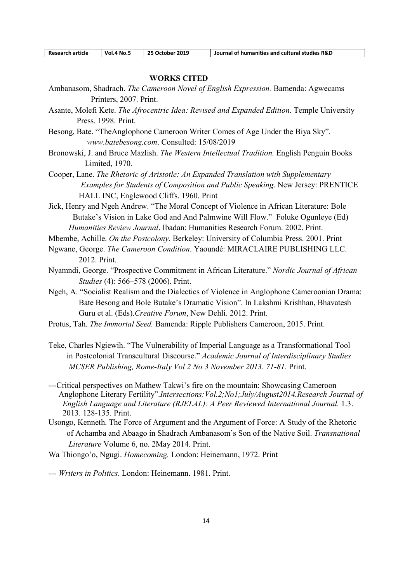| <b>Research article</b> | <b>Vol.4 No.5</b> | 25 October 2019 | Journal of humanities and cultural studies R&D |
|-------------------------|-------------------|-----------------|------------------------------------------------|

#### WORKS CITED

- Ambanasom, Shadrach. The Cameroon Novel of English Expression. Bamenda: Agwecams Printers, 2007. Print.
- Asante, Molefi Kete. The Afrocentric Idea: Revised and Expanded Edition. Temple University Press. 1998. Print.
- Besong, Bate. "TheAnglophone Cameroon Writer Comes of Age Under the Biya Sky". www.batebesong.com. Consulted: 15/08/2019
- Bronowski, J. and Bruce Mazlish. The Western Intellectual Tradition. English Penguin Books Limited, 1970.
- Cooper, Lane. The Rhetoric of Aristotle: An Expanded Translation with Supplementary Examples for Students of Composition and Public Speaking. New Jersey: PRENTICE HALL INC, Englewood Cliffs. 1960. Print

Jick, Henry and Ngeh Andrew. "The Moral Concept of Violence in African Literature: Bole Butake's Vision in Lake God and And Palmwine Will Flow." Foluke Ogunleye (Ed) Humanities Review Journal. Ibadan: Humanities Research Forum. 2002. Print.

- Mbembe, Achille. On the Postcolony. Berkeley: University of Columbia Press. 2001. Print
- Ngwane, George. The Cameroon Condition. Yaoundé: MIRACLAIRE PUBLISHING LLC. 2012. Print.
- Nyamndi, George. "Prospective Commitment in African Literature." Nordic Journal of African Studies (4): 566–578 (2006). Print.
- Ngeh, A. "Socialist Realism and the Dialectics of Violence in Anglophone Cameroonian Drama: Bate Besong and Bole Butake's Dramatic Vision". In Lakshmi Krishhan, Bhavatesh Guru et al. (Eds).Creative Forum, New Dehli. 2012. Print.
- Protus, Tah. The Immortal Seed. Bamenda: Ripple Publishers Cameroon, 2015. Print.
- Teke, Charles Ngiewih. "The Vulnerability of Imperial Language as a Transformational Tool in Postcolonial Transcultural Discourse." Academic Journal of Interdisciplinary Studies MCSER Publishing, Rome-Italy Vol 2 No 3 November 2013. 71-81. Print.
- ---Critical perspectives on Mathew Takwi's fire on the mountain: Showcasing Cameroon Anglophone Literary Fertility".Intersections: Vol.2; No1; July/August2014.Research Journal of English Language and Literature (RJELAL): A Peer Reviewed International Journal. 1.3. 2013. 128-135. Print.
- Usongo, Kenneth. The Force of Argument and the Argument of Force: A Study of the Rhetoric of Achamba and Abaago in Shadrach Ambanasom's Son of the Native Soil. Transnational Literature Volume 6, no. 2May 2014. Print.
- Wa Thiongo'o, Ngugi. Homecoming. London: Heinemann, 1972. Print

--- Writers in Politics. London: Heinemann. 1981. Print.